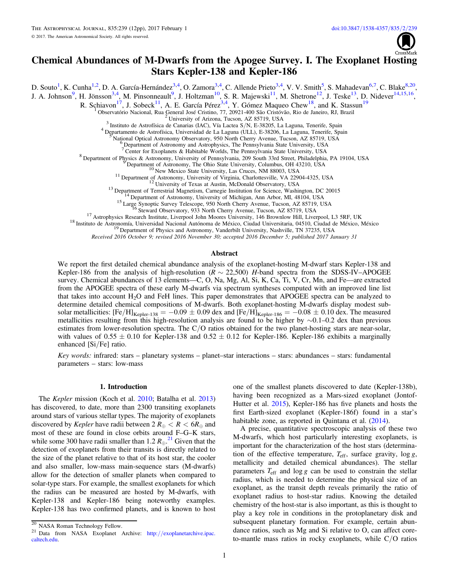

# Chemical Abundances of M-Dwarfs from the Apogee Survey. I. The Exoplanet Hosting Stars Kepler-138 and Kepler-186

<span id="page-0-2"></span><span id="page-0-1"></span><span id="page-0-0"></span>D. Souto<sup>1</sup>, K. Cunha<sup>[1,](#page-0-0)[2](#page-0-1)</sup>, D. A. García-Hernández<sup>[3,](#page-0-2)[4](#page-0-3)</sup>, O. Zamora<sup>3,4</sup>, C. Allende Prieto<sup>3,4</sup>, V. V. Smith<sup>[5](#page-0-4)</sup>, S. Mahadevan<sup>[6,](#page-0-5)[7](#page-0-6)</sup>, C. Blake<sup>[8,](#page-0-7)[20](#page-0-8)</sup>, J. A. Johnson<sup>[9](#page-0-9)</sup>, H. Jönsson<sup>3,[4](#page-0-3)</sup>, M. Pinsonneault<sup>9</sup>, J. Holtzman<sup>10</sup>, S. R. Majewski<sup>11</sup>, M. Shetrone<sup>[12](#page-0-12)</sup>, J. Teske<sup>13</sup>, D. Nidever<sup>[14,](#page-0-14)[15,](#page-0-15)[16](#page-0-16)</sup>,

R. Schiavon<sup>17</sup>, J. Sobeck<sup>11</sup>, A. E. García Pérez<sup>[3,](#page-0-2)[4](#page-0-3)</sup>, Y. Gómez Maqueo Chew<sup>[18](#page-0-18)</sup>, and K. Stassun<sup>[19](#page-0-19)</sup>

Tobservatório Nacional, Rua General José Cristino, 77, 20921-400 São Cristóvão, Rio de Janeiro, RJ, Brazil<br>
<sup>2</sup> University of Arizona, Tucson, AZ 85719, USA<br>
<sup>3</sup> Instituto de Astrofísica de Canarias (IAC), Vía Lactea S/N,

<span id="page-0-12"></span><span id="page-0-11"></span><span id="page-0-10"></span><span id="page-0-9"></span><span id="page-0-7"></span><span id="page-0-6"></span><span id="page-0-5"></span><span id="page-0-4"></span><span id="page-0-3"></span><sup>6</sup> Department of Astronomy and Astrophysics, The Pennsylvania State University, USA<br>
<sup>7</sup> Center for Exoplanets & Habitable Worlds, The Pennsylvania State University, USA<br>
<sup>8</sup> Department of Physics & Astronomy, University

<span id="page-0-19"></span><span id="page-0-18"></span><span id="page-0-17"></span><span id="page-0-16"></span><span id="page-0-15"></span><span id="page-0-14"></span><span id="page-0-13"></span>

Received 2016 October 9; revised 2016 November 30; accepted 2016 December 5; published 2017 January 31

### Abstract

We report the first detailed chemical abundance analysis of the exoplanet-hosting M-dwarf stars Kepler-138 and Kepler-186 from the analysis of high-resolution ( $R \sim 22,500$ ) H-band spectra from the SDSS-IV–APOGEE survey. Chemical abundances of 13 elements—C, O, Na, Mg, Al, Si, K, Ca, Ti, V, Cr, Mn, and Fe—are extracted from the APOGEE spectra of these early M-dwarfs via spectrum syntheses computed with an improved line list that takes into account  $H_2O$  and FeH lines. This paper demonstrates that APOGEE spectra can be analyzed to determine detailed chemical compositions of M-dwarfs. Both exoplanet-hosting M-dwarfs display modest subsolar metallicities:  $[Fe/H]_{Kepler-138} = -0.09 \pm 0.09$  dex and  $[Fe/H]_{Kepler-186} = -0.08 \pm 0.10$  dex. The measured metallicities resulting from this high-resolution analysis are found to be higher by ∼0.1–0.2 dex than previous estimates from lower-resolution spectra. The C/O ratios obtained for the two planet-hosting stars are near-solar, with values of  $0.55 \pm 0.10$  for Kepler-138 and  $0.52 \pm 0.12$  for Kepler-186. Kepler-186 exhibits a marginally enhanced [Si/Fe] ratio.

Key words: infrared: stars – planetary systems – planet–star interactions – stars: abundances – stars: fundamental parameters – stars: low-mass

# 1. Introduction

The *Kepler* mission (Koch et al. [2010;](#page-11-0) Batalha et al. [2013](#page-11-1)) has discovered, to date, more than 2300 transiting exoplanets around stars of various stellar types. The majority of exoplanets discovered by *Kepler* have radii between  $2 R_{\text{m}} < R < 6R_{\text{m}}$  and most of these are found in close orbits around F–G–K stars, while some 300 have radii smaller than  $1.2 R_{\oplus}$ .<sup>[21](#page-0-20)</sup> Given that the detection of exoplanets from their transits is directly related to the size of the planet relative to that of its host star, the cooler and also smaller, low-mass main-sequence stars (M-dwarfs) allow for the detection of smaller planets when compared to solar-type stars. For example, the smallest exoplanets for which the radius can be measured are hosted by M-dwarfs, with Kepler-138 and Kepler-186 being noteworthy examples. Kepler-138 has two confirmed planets, and is known to host

one of the smallest planets discovered to date (Kepler-138b), having been recognized as a Mars-sized exoplanet (Jontof-Hutter et al. [2015](#page-11-2)), Kepler-186 has five planets and hosts the first Earth-sized exoplanet (Kepler-186f) found in a star's habitable zone, as reported in Quintana et al. ([2014](#page-11-3)).

A precise, quantitative spectroscopic analysis of these two M-dwarfs, which host particularly interesting exoplanets, is important for the characterization of the host stars (determination of the effective temperature,  $T_{\text{eff}}$ , surface gravity,  $\log g$ , metallicity and detailed chemical abundances). The stellar parameters  $T_{\text{eff}}$  and  $\log g$  can be used to constrain the stellar radius, which is needed to determine the physical size of an exoplanet, as the transit depth reveals primarily the ratio of exoplanet radius to host-star radius. Knowing the detailed chemistry of the host-star is also important, as this is thought to play a key role in conditions in the protoplanetary disk and subsequent planetary formation. For example, certain abundance ratios, such as Mg and Si relative to O, can affect coreto-mantle mass ratios in rocky exoplanets, while C/O ratios

<span id="page-0-20"></span>

<span id="page-0-8"></span> $\frac{20}{20}$  NASA Roman Technology Fellow.<br><sup>21</sup> Data from NASA Exoplanet Archive: http://[exoplanetarchive.ipac.](http://exoplanetarchive.ipac.caltech.edu) [caltech.edu.](http://exoplanetarchive.ipac.caltech.edu)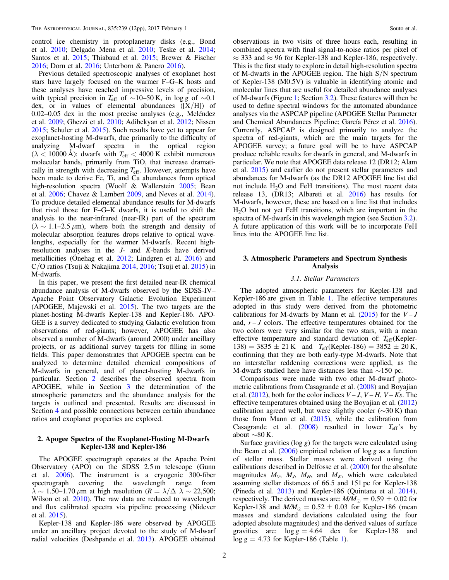control ice chemistry in protoplanetary disks (e.g., Bond et al. [2010](#page-11-4); Delgado Mena et al. [2010;](#page-11-5) Teske et al. [2014](#page-11-6); Santos et al. [2015;](#page-11-7) Thiabaud et al. [2015;](#page-11-8) Brewer & Fischer [2016;](#page-11-9) Dorn et al. [2016;](#page-11-10) Unterborn & Panero [2016](#page-11-11)).

Previous detailed spectroscopic analyses of exoplanet host stars have largely focused on the warmer F–G–K hosts and these analyses have reached impressive levels of precision, with typical precision in  $T_{\text{eff}}$  of ~10–50 K, in log g of ~0.1 dex, or in values of elemental abundances  $([X/H])$  of 0.02–0.05 dex in the most precise analyses (e.g., Meléndez et al. [2009;](#page-11-12) Ghezzi et al. [2010;](#page-11-13) Adibekyan et al. [2012](#page-11-14); Nissen [2015;](#page-11-15) Schuler et al. [2015](#page-11-16)). Such results have yet to appear for exoplanet-hosting M-dwarfs, due primarily to the difficulty of analyzing M-dwarf spectra in the optical region  $(\lambda < 10000 \text{ Å})$ : dwarfs with  $T_{\text{eff}} < 4000 \text{ K}$  exhibit numerous molecular bands, primarily from TiO, that increase dramatically in strength with decreasing *T*eff. However, attempts have been made to derive Fe, Ti, and Ca abundances from optical high-resolution spectra (Woolf & Wallerstein [2005;](#page-11-17) Bean et al. [2006](#page-11-18); Chavez & Lambert [2009](#page-11-19), and Neves et al. [2014](#page-11-20)). To produce detailed elemental abundance results for M-dwarfs that rival those for F–G–K dwarfs, it is useful to shift the analysis to the near-infrared (near-IR) part of the spectrum  $(\lambda \sim 1.1 - 2.5 \,\mu\text{m})$ , where both the strength and density of molecular absorption features drops relative to optical wavelengths, especially for the warmer M-dwarfs. Recent highresolution analyses in the J- and K-bands have derived metallicities (Önehag et al. [2012;](#page-11-21) Lindgren et al. [2016](#page-11-22)) and C/O ratios (Tsuji & Nakajima [2014,](#page-11-23) [2016;](#page-11-24) Tsuji et al. [2015](#page-11-25)) in M-dwarfs.

In this paper, we present the first detailed near-IR chemical abundance analysis of M-dwarfs observed by the SDSS-IV– Apache Point Observatory Galactic Evolution Experiment (APOGEE, Majewski et al. [2015](#page-11-26)). The two targets are the planet-hosting M-dwarfs Kepler-138 and Kepler-186. APO-GEE is a survey dedicated to studying Galactic evolution from observations of red-giants; however, APOGEE has also observed a number of M-dwarfs (around 2000) under ancillary projects, or as additional survey targets for filling in some fields. This paper demonstrates that APOGEE spectra can be analyzed to determine detailed chemical compositions of M-dwarfs in general, and of planet-hosting M-dwarfs in particular. Section [2](#page-1-0) describes the observed spectra from APOGEE, while in Section [3](#page-1-1) the determination of the atmospheric parameters and the abundance analysis for the targets is outlined and presented. Results are discussed in Section [4](#page-9-0) and possible connections between certain abundance ratios and exoplanet properties are explored.

# <span id="page-1-0"></span>2. Apogee Spectra of the Exoplanet-Hosting M-Dwarfs Kepler-138 and Kepler-186

The APOGEE spectrograph operates at the Apache Point Observatory (APO) on the SDSS 2.5 m telescope (Gunn et al. [2006](#page-11-27)). The instrument is a cryogenic 300-fiber spectrograph covering the wavelength range from  $\lambda \sim 1.50$ –1.70 μm at high resolution ( $R = \lambda/\Delta \lambda \sim 22,500$ ; Wilson et al. [2010](#page-11-28)). The raw data are reduced to wavelength and flux calibrated spectra via pipeline processing (Nidever et al. [2015](#page-11-29)).

Kepler-138 and Kepler-186 were observed by APOGEE under an ancillary project devoted to the study of M-dwarf radial velocities (Deshpande et al. [2013](#page-11-30)). APOGEE obtained

observations in two visits of three hours each, resulting in combined spectra with final signal-to-noise ratios per pixel of  $\approx$  333 and  $\approx$  96 for Kepler-138 and Kepler-186, respectively. This is the first study to explore in detail high-resolution spectra of M-dwarfs in the APOGEE region. The high S/N spectrum of Kepler-138 (M0.5V) is valuable in identifying atomic and molecular lines that are useful for detailed abundance analyses of M-dwarfs (Figure [1;](#page-2-0) Section [3.2](#page-3-0)). These features will then be used to define spectral windows for the automated abundance analyses via the ASPCAP pipeline (APOGEE Stellar Parameter and Chemical Abundances Pipeline; García Pérez et al. [2016](#page-11-31)). Currently, ASPCAP is designed primarily to analyze the spectra of red-giants, which are the main targets for the APOGEE survey; a future goal will be to have ASPCAP produce reliable results for dwarfs in general, and M-dwarfs in particular. We note that APOGEE data release 12 (DR12; Alam et al. [2015](#page-11-32)) and earlier do not present stellar parameters and abundances for M-dwarfs (as the DR12 APOGEE line list did not include  $H_2O$  and FeH transitions). The most recent data release 13, (DR13; Albareti et al. [2016](#page-11-33)) has results for M-dwarfs, however, these are based on a line list that includes  $H<sub>2</sub>O$  but not yet FeH transitions, which are important in the spectra of M-dwarfs in this wavelength region (see Section [3.2](#page-3-0)). A future application of this work will be to incorporate FeH lines into the APOGEE line list.

## <span id="page-1-1"></span>3. Atmospheric Parameters and Spectrum Synthesis Analysis

# 3.1. Stellar Parameters

<span id="page-1-2"></span>The adopted atmospheric parameters for Kepler-138 and Kepler-186 are given in Table [1](#page-3-1). The effective temperatures adopted in this study were derived from the photometric calibrations for M-dwarfs by Mann et al.  $(2015)$  $(2015)$  $(2015)$  for the  $V - J$ and,  $r - J$  colors. The effective temperatures obtained for the two colors were very similar for the two stars, with a mean effective temperature and standard deviation of: *T*eff(Kepler- $138$ ) = 3835  $\pm$  21 K and  $T_{\text{eff}}$ (Kepler-186) = 3852  $\pm$  20 K, confirming that they are both early-type M-dwarfs. Note that no interstellar reddening corrections were applied, as the M-dwarfs studied here have distances less than ∼150 pc.

Comparisons were made with two other M-dwarf photometric calibrations from Casagrande et al. ([2008](#page-11-35)) and Boyajian et al. ([2012](#page-11-36)), both for the color indices  $V - J$ ,  $V - H$ ,  $V - Ks$ . The effective temperatures obtained using the Boyajian et al. ([2012](#page-11-36)) calibration agreed well, but were slightly cooler ( $\sim$ 30 K) than those from Mann et al.  $(2015)$  $(2015)$  $(2015)$ , while the calibration from Casagrande et al.  $(2008)$  $(2008)$  $(2008)$  resulted in lower  $T_{\text{eff}}$ 's by about ∼80 K.

Surface gravities ( $log g$ ) for the targets were calculated using the Bean et al.  $(2006)$  $(2006)$  $(2006)$  empirical relation of log g as a function of stellar mass. Stellar masses were derived using the calibrations described in Delfosse et al. ([2000](#page-11-37)) for the absolute magnitudes  $M_V$ ,  $M_J$ ,  $M_H$ , and  $M_K$ , which were calculated assuming stellar distances of 66.5 and 151 pc for Kepler-138 (Pineda et al. [2013](#page-11-38)) and Kepler-186 (Quintana et al. [2014](#page-11-3)), respectively. The derived masses are:  $M/M_{\odot} = 0.59 \pm 0.02$  for Kepler-138 and  $M/M_{\odot} = 0.52 \pm 0.03$  for Kepler-186 (mean masses and standard deviations calculated using the four adopted absolute magnitudes) and the derived values of surface gravities are:  $\log g = 4.64$  dex for Kepler-138 and  $\log g = 4.73$  for Kepler-[1](#page-3-1)86 (Table 1).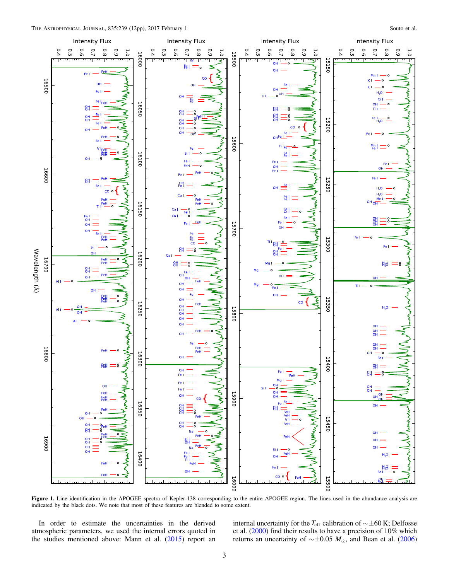<span id="page-2-0"></span>

Figure 1. Line identification in the APOGEE spectra of Kepler-138 corresponding to the entire APOGEE region. The lines used in the abundance analysis are indicated by the black dots. We note that most of these features are blended to some extent.

In order to estimate the uncertainties in the derived atmospheric parameters, we used the internal errors quoted in the studies mentioned above: Mann et al.  $(2015)$  $(2015)$  $(2015)$  report an internal uncertainty for the *T*eff calibration of ∼±60 K; Delfosse et al. ([2000](#page-11-37)) find their results to have a precision of 10% which returns an uncertainty of  $\sim \pm 0.05$  M<sub>☉</sub>, and Bean et al. ([2006](#page-11-18))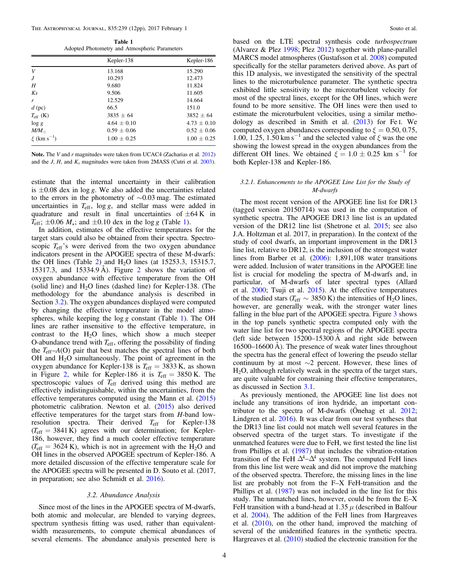Table 1 Adopted Photometry and Atmospheric Parameters

<span id="page-3-1"></span>

|                             | Kepler-138      | Kepler-186      |
|-----------------------------|-----------------|-----------------|
| V                           | 13.168          | 15.290          |
| J                           | 10.293          | 12.473          |
| H                           | 9.680           | 11.824          |
| $K_{S}$                     | 9.506           | 11.605          |
| r                           | 12.529          | 14.664          |
| $d$ (pc)                    | 66.5            | 151.0           |
| $T_{\rm eff}$ (K)           | $3835 + 64$     | $3852 + 64$     |
| $\log g$                    | $4.64 \pm 0.10$ | $4.73 \pm 0.10$ |
| $M/M_{\odot}$               | $0.59 \pm 0.06$ | $0.52 \pm 0.06$ |
| $\xi$ (km s <sup>-1</sup> ) | $1.00 \pm 0.25$ | $1.00 \pm 0.25$ |

Note. The V and r magnitudes were taken from UCAC4 (Zacharias et al. [2012](#page-11-51)) and the J, H, and  $K_s$  magnitudes were taken from 2MASS (Cutri et al. [2003](#page-11-52)).

estimate that the internal uncertainty in their calibration is  $\pm 0.08$  dex in log g. We also added the uncertainties related to the errors in the photometry of ∼0.03 mag. The estimated uncertainties in  $T_{\rm eff}$ , log g, and stellar mass were added in quadrature and result in final uncertainties of  $\pm 64$  K in  $T_{\text{eff}}$ ;  $\pm 0.06$   $M_{\star}$ ; and  $\pm 0.10$  $\pm 0.10$  $\pm 0.10$  dex in the log g (Table 1).

In addition, estimates of the effective temperatures for the target stars could also be obtained from their spectra. Spectroscopic  $T_{\text{eff}}$ 's were derived from the two oxygen abundance indicators present in the APOGEE spectra of these M-dwarfs: the OH lines (Table [2](#page-4-0)) and  $H<sub>2</sub>O$  lines (at 15253.3, 15315.7, 15317.3, and 15334.9 Å). Figure [2](#page-6-0) shows the variation of oxygen abundance with effective temperature from the OH (solid line) and  $H_2O$  lines (dashed line) for Kepler-138. (The methodology for the abundance analysis is described in Section [3.2](#page-3-0)). The oxygen abundances displayed were computed by changing the effective temperature in the model atmospheres, while keeping the  $\log g$  constant (Table [1](#page-3-1)). The OH lines are rather insensitive to the effective temperature, in contrast to the  $H_2O$  lines, which show a much steeper O-abundance trend with  $T_{\rm eff}$ , offering the possibility of finding the *T*eff–A(O) pair that best matches the spectral lines of both OH and  $H_2O$  simultaneously. The point of agreement in the oxygen abundance for Kepler-138 is  $T_{\text{eff}} = 3833 \text{ K}$ , as shown in Figure [2,](#page-6-0) while for Kepler-186 it is  $T_{\text{eff}} = 3850 \text{ K}$ . The spectroscopic values of *T*eff derived using this method are effectively indistinguishable, within the uncertainties, from the effective temperatures computed using the Mann et al. ([2015](#page-11-34)) photometric calibration. Newton et al. ([2015](#page-11-39)) also derived effective temperatures for the target stars from H-band lowresolution spectra. Their derived T<sub>eff</sub> for Kepler-138  $(T_{\text{eff}} = 3841 \text{ K})$  agrees with our determination; for Kepler-186, however, they find a much cooler effective temperature  $(T_{\text{eff}} = 3624 \text{ K})$ , which is not in agreement with the H<sub>2</sub>O and OH lines in the observed APOGEE spectrum of Kepler-186. A more detailed discussion of the effective temperature scale for the APOGEE spectra will be presented in D. Souto et al. (2017, in preparation; see also Schmidt et al. [2016](#page-11-40)).

#### 3.2. Abundance Analysis

<span id="page-3-0"></span>Since most of the lines in the APOGEE spectra of M-dwarfs, both atomic and molecular, are blended to varying degrees, spectrum synthesis fitting was used, rather than equivalentwidth measurements, to compute chemical abundances of several elements. The abundance analysis presented here is

based on the LTE spectral synthesis code turbospectrum (Alvarez & Plez [1998](#page-11-41); Plez [2012](#page-11-42)) together with plane-parallel MARCS model atmospheres (Gustafsson et al. [2008](#page-11-43)) computed specifically for the stellar parameters derived above. As part of this 1D analysis, we investigated the sensitivity of the spectral lines to the microturbulence parameter. The synthetic spectra exhibited little sensitivity to the microturbulent velocity for most of the spectral lines, except for the OH lines, which were found to be more sensitive. The OH lines were then used to estimate the microturbulent velocities, using a similar methodology as described in Smith et al.  $(2013)$  $(2013)$  $(2013)$  for Fe I. We computed oxygen abundances corresponding to  $\xi = 0.50, 0.75,$ 1.00, 1.25, 1.50 km s<sup> $-1$ </sup> and the selected value of  $\xi$  was the one showing the lowest spread in the oxygen abundances from the different OH lines. We obtained  $\xi = 1.0 \pm 0.25$  km s<sup>-1</sup> for both Kepler-138 and Kepler-186.

# <span id="page-3-2"></span>3.2.1. Enhancements to the APOGEE Line List for the Study of M-dwarfs

The most recent version of the APOGEE line list for DR13 (tagged version 20150714) was used in the computation of synthetic spectra. The APOGEE DR13 line list is an updated version of the DR12 line list (Shetrone et al. [2015;](#page-11-45) see also J.A. Holtzman et al. 2017, in preparation). In the context of the study of cool dwarfs, an important improvement in the DR13 line list, relative to DR12, is the inclusion of the strongest water lines from Barber et al. ([2006](#page-11-46)): 1,891,108 water transitions were added. Inclusion of water transitions in the APOGEE line list is crucial for modeling the spectra of M-dwarfs and, in particular, of M-dwarfs of later spectral types (Allard et al. [2000;](#page-11-47) Tsuji et al. [2015](#page-11-25)). At the effective temperatures of the studied stars ( $T_{\text{eff}} \sim 3850 \text{ K}$ ) the intensities of H<sub>2</sub>O lines, however, are generally weak, with the stronger water lines falling in the blue part of the APOGEE spectra. Figure [3](#page-7-0) shows in the top panels synthetic spectra computed only with the water line list for two spectral regions of the APOGEE spectra (left side between 15200–15300 Å and right side between 16500–16600 Å). The presence of weak water lines throughout the spectra has the general effect of lowering the pseudo stellar continuum by at most ∼2 percent. However, these lines of H2O, although relatively weak in the spectra of the target stars, are quite valuable for constraining their effective temperatures, as discussed in Section [3.1.](#page-1-2)

As previously mentioned, the APOGEE line list does not include any transitions of iron hydride, an important contributor to the spectra of M-dwarfs (Önehag et al. [2012](#page-11-21); Lindgren et al. [2016](#page-11-22)). It was clear from our test syntheses that the DR13 line list could not match well several features in the observed spectra of the target stars. To investigate if the unmatched features were due to FeH, we first tested the line list from Phillips et al. ([1987](#page-11-48)) that includes the vibration-rotation transition of the FeH  $\Delta^4$ - $\Delta^4$  system. The computed FeH lines from this line list were weak and did not improve the matching of the observed spectra. Therefore, the missing lines in the line list are probably not from the F–X FeH-transition and the Phillips et al. ([1987](#page-11-48)) was not included in the line list for this study. The unmatched lines, however, could be from the E–X FeH transition with a band-head at 1.35  $\mu$  (described in Balfour et al. [2004](#page-11-49)). The addition of the FeH lines from Hargreaves et al. ([2010](#page-11-50)), on the other hand, improved the matching of several of the unidentified features in the synthetic spectra. Hargreaves et al. ([2010](#page-11-50)) studied the electronic transition for the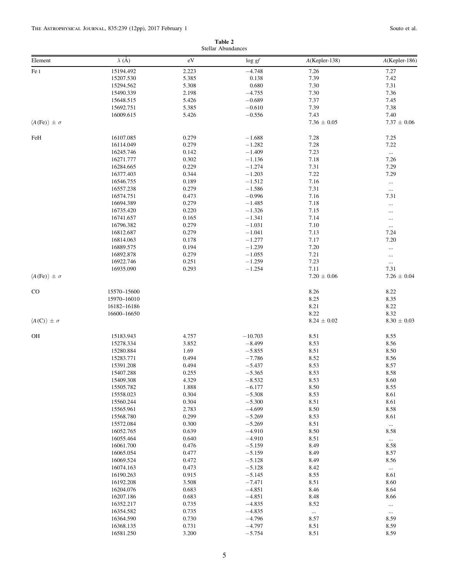#### Table 2 Stellar Abundances

<span id="page-4-0"></span>

|                                    |                        |                | Stellar Abundances   |                  |                      |
|------------------------------------|------------------------|----------------|----------------------|------------------|----------------------|
| Element                            | $\lambda$ (Å)          | $\rm eV$       | $\log gf$            | $A$ (Kepler-138) | A(Kepler-186)        |
| Fe I                               | 15194.492              | 2.223          | $-4.748$             | 7.26             | 7.27                 |
|                                    | 15207.530              | 5.385          | 0.138                | 7.39             | 7.42                 |
|                                    | 15294.562              | 5.308          | 0.680                | 7.30             | 7.31                 |
|                                    | 15490.339              | 2.198          | $-4.755$             | 7.30             | 7.36                 |
|                                    | 15648.515              | 5.426          | $-0.689$             | 7.37             | 7.45                 |
|                                    | 15692.751              | 5.385          | $-0.610$             | 7.39             | 7.38                 |
|                                    | 16009.615              | 5.426          | $-0.556$             | 7.43             | 7.40                 |
| $\langle A(Fe) \rangle \pm \sigma$ |                        |                |                      | $7.36 \pm 0.05$  | $7.37 \pm 0.06$      |
| FeH                                | 16107.085              | 0.279          | $-1.688$             | 7.28             | 7.25                 |
|                                    | 16114.049              | 0.279          | $-1.282$             | 7.28             | 7.22                 |
|                                    | 16245.746              | 0.142          | $-1.409$             | 7.23             | $\ldots$             |
|                                    | 16271.777              | 0.302          | $-1.136$             | 7.18             | 7.26                 |
|                                    | 16284.665              | 0.229          | $-1.274$             | 7.31             | 7.29                 |
|                                    | 16377.403              | 0.344          | $-1.203$             | 7.22             | 7.29                 |
|                                    | 16546.755              | 0.189          | $-1.512$             | 7.16             | $\ldots$             |
|                                    | 16557.238              | 0.279          | $-1.586$             | 7.31             | $\ldots$             |
|                                    | 16574.751              | 0.473          | $-0.996$             | 7.16             | 7.31                 |
|                                    | 16694.389              | 0.279          | $-1.485$             | 7.18             | $\ldots$             |
|                                    | 16735.420              | 0.220          | $-1.326$             | 7.15             | $\cdots$             |
|                                    | 16741.657              | 0.165          | $-1.341$             | 7.14             | $\cdots$             |
|                                    | 16796.382              | 0.279          | $-1.031$             | 7.10             | $\ldots$             |
|                                    | 16812.687              | 0.279          | $-1.041$             | 7.13             | 7.24                 |
|                                    | 16814.063              | 0.178          | $-1.277$             | 7.17             | 7.20                 |
|                                    | 16889.575              | 0.194          | $-1.239$             | 7.20             | $\cdots$             |
|                                    | 16892.878              | 0.279          | $-1.055$             | 7.21             | $\ldots$             |
|                                    | 16922.746              | 0.251          | $-1.259$             | 7.23<br>7.11     | $\ldots$<br>7.31     |
| $\langle A(Fe) \rangle \pm \sigma$ | 16935.090              | 0.293          | $-1.254$             | $7.20 \pm 0.06$  | $7.26 \pm 0.04$      |
|                                    |                        |                |                      |                  |                      |
| CO                                 | 15570-15600            |                |                      | 8.26             | 8.22                 |
|                                    | 15970-16010            |                |                      | 8.25             | 8.35                 |
|                                    | 16182-16186            |                |                      | 8.21             | 8.22                 |
|                                    | 16600-16650            |                |                      | 8.22             | 8.32                 |
| $\langle A(C) \rangle \pm \sigma$  |                        |                |                      | $8.24 \pm 0.02$  | $8.30 \pm 0.03$      |
| OH                                 | 15183.943              | 4.757          | $-10.703$            | 8.51             | 8.55                 |
|                                    | 15278.334              | 3.852          | $-8.499$             | 8.53             | 8.56                 |
|                                    | 15280.884              | 1.69           | $-5.855$             | 8.51             | 8.50                 |
|                                    | 15283.771              | 0.494          | $-7.786$             | 8.52             | 8.56                 |
|                                    | 15391.208              | 0.494          | $-5.437$             | 8.53             | 8.57                 |
|                                    | 15407.288              | 0.255          | $-5.365$             | 8.53             | 8.58                 |
|                                    | 15409.308              | 4.329          | $-8.532$             | 8.53             | 8.60                 |
|                                    | 15505.782              | 1.888          | $-6.177$             | 8.50             | 8.55                 |
|                                    | 15558.023              | 0.304          | $-5.308$             | 8.53             | 8.61                 |
|                                    | 15560.244              | 0.304          | $-5.300$             | 8.51             | 8.61                 |
|                                    | 15565.961              | 2.783          | $-4.699$             | 8.50             | 8.58                 |
|                                    | 15568.780              | 0.299          | $-5.269$             | 8.53             | 8.61                 |
|                                    | 15572.084              | 0.300          | $-5.269$             | 8.51             | $\cdots$             |
|                                    | 16052.765              | 0.639          | $-4.910$             | 8.50             | 8.58                 |
|                                    | 16055.464              | 0.640          | $-4.910$             | 8.51             | $\cdots$             |
|                                    | 16061.700              | 0.476          | $-5.159$             | 8.49             | 8.58                 |
|                                    | 16065.054              | 0.477          | $-5.159$             | 8.49             | 8.57                 |
|                                    | 16069.524              | 0.472          | $-5.128$             | 8.49             | 8.56                 |
|                                    | 16074.163              | 0.473<br>0.915 | $-5.128$             | 8.42             | $\cdots$             |
|                                    | 16190.263<br>16192.208 | 3.508          | $-5.145$<br>$-7.471$ | 8.55<br>8.51     | 8.61<br>8.60         |
|                                    | 16204.076              | 0.683          | $-4.851$             | 8.46             | 8.64                 |
|                                    | 16207.186              | 0.683          | $-4.851$             | 8.48             | 8.66                 |
|                                    | 16352.217              | 0.735          | $-4.835$             | 8.52             |                      |
|                                    | 16354.582              | 0.735          | $-4.835$             | $\cdots$         | $\cdots$<br>$\ldots$ |
|                                    | 16364.590              | 0.730          | $-4.796$             | 8.57             | 8.59                 |
|                                    | 16368.135              | 0.731          | $-4.797$             | 8.51             | 8.59                 |
|                                    | 16581.250              | 3.200          | $-5.754$             | 8.51             | 8.59                 |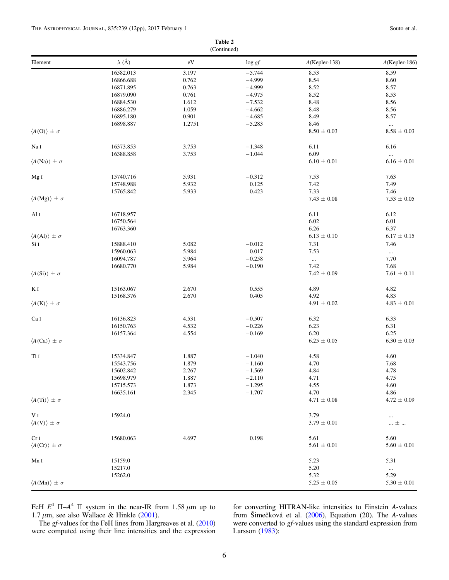Table 2 (Continued)

| Element                            | $\lambda$ (Å) | $\rm eV$ | $\log gf$ | A(Kepler-138)   | $A$ (Kepler-186)            |
|------------------------------------|---------------|----------|-----------|-----------------|-----------------------------|
|                                    | 16582.013     | 3.197    | $-5.744$  | 8.53            | 8.59                        |
|                                    | 16866.688     | 0.762    | $-4.999$  | 8.54            | 8.60                        |
|                                    | 16871.895     | 0.763    | $-4.999$  | 8.52            | 8.57                        |
|                                    | 16879.090     | 0.761    | $-4.975$  | 8.52            | 8.53                        |
|                                    | 16884.530     | 1.612    | $-7.532$  | 8.48            | 8.56                        |
|                                    | 16886.279     | 1.059    | $-4.662$  | 8.48            | 8.56                        |
|                                    | 16895.180     | 0.901    | $-4.685$  | 8.49            | 8.57                        |
|                                    |               |          |           |                 |                             |
|                                    | 16898.887     | 1.2751   | $-5.283$  | 8.46            | $\cdots$<br>$8.58 \pm 0.03$ |
| $\langle A(O) \rangle \pm \sigma$  |               |          |           | $8.50 \pm 0.03$ |                             |
| $\rm Na~\sc I$                     | 16373.853     | 3.753    | $-1.348$  | 6.11            | 6.16                        |
|                                    | 16388.858     | 3.753    | $-1.044$  | 6.09            | $\ldots$                    |
| $\langle A(Na) \rangle \pm \sigma$ |               |          |           | $6.10 \pm 0.01$ | $6.16\,\pm\,0.01$           |
| Mg <sub>I</sub>                    | 15740.716     | 5.931    | $-0.312$  | 7.53            | 7.63                        |
|                                    | 15748.988     | 5.932    | 0.125     | 7.42            | 7.49                        |
|                                    | 15765.842     | 5.933    | 0.423     | 7.33            | 7.46                        |
| $\langle A(Mg) \rangle \pm \sigma$ |               |          |           | $7.43 \pm 0.08$ | $7.53\,\pm\,0.05$           |
|                                    |               |          |           |                 | 6.12                        |
| Al I                               | 16718.957     |          |           | 6.11            |                             |
|                                    | 16750.564     |          |           | 6.02            | 6.01                        |
|                                    | 16763.360     |          |           | 6.26            | 6.37                        |
| $\langle A(AI) \rangle \pm \sigma$ |               |          |           | $6.13 \pm 0.10$ | $6.17 \pm 0.15$             |
| Si I                               | 15888.410     | 5.082    | $-0.012$  | 7.31            | 7.46                        |
|                                    | 15960.063     | 5.984    | 0.017     | 7.53            | $\ldots$                    |
|                                    | 16094.787     | 5.964    | $-0.258$  | $\ldots$        | 7.70                        |
|                                    | 16680.770     | 5.984    | $-0.190$  | 7.42            | 7.68                        |
| $\langle A(Si) \rangle \pm \sigma$ |               |          |           | $7.42 \pm 0.09$ | $7.61 \pm 0.11$             |
| $\rm K$ $\rm I$                    | 15163.067     | 2.670    | 0.555     | 4.89            | 4.82                        |
|                                    | 15168.376     | 2.670    | 0.405     | 4.92            | 4.83                        |
| $\langle A(K) \rangle \pm \sigma$  |               |          |           | $4.91 \pm 0.02$ | $4.83 \pm 0.01$             |
| Ca I                               | 16136.823     | 4.531    | $-0.507$  | 6.32            | 6.33                        |
|                                    | 16150.763     | 4.532    | $-0.226$  | 6.23            | 6.31                        |
|                                    | 16157.364     | 4.554    | $-0.169$  | 6.20            | 6.25                        |
| $\langle A(Ca) \rangle \pm \sigma$ |               |          |           |                 |                             |
|                                    |               |          |           | $6.25 \pm 0.05$ | $6.30 \pm 0.03$             |
| Ti I                               | 15334.847     | 1.887    | $-1.040$  | 4.58            | 4.60                        |
|                                    | 15543.756     | 1.879    | $-1.160$  | 4.70            | 7.68                        |
|                                    | 15602.842     | 2.267    | $-1.569$  | 4.84            | 4.78                        |
|                                    | 15698.979     | 1.887    | $-2.110$  | 4.71            | 4.75                        |
|                                    | 15715.573     | 1.873    | $-1.295$  | 4.55            | 4.60                        |
|                                    | 16635.161     | 2.345    | $-1.707$  | 4.70            | 4.86                        |
| $\langle A(Ti) \rangle \pm \sigma$ |               |          |           | $4.71 \pm 0.08$ | $4.72 \pm 0.09$             |
|                                    |               |          |           |                 |                             |
| V I                                | 15924.0       |          |           | 3.79            | $\ldots$                    |
| $\langle A(V) \rangle \pm \sigma$  |               |          |           | $3.79 \pm 0.01$ | $\ldots$ $\pm$ $\ldots$     |
| Cr <sub>I</sub>                    | 15680.063     | 4.697    | 0.198     | 5.61            | 5.60                        |
| $\langle A(Cr) \rangle \pm \sigma$ |               |          |           | $5.61 \pm 0.01$ | $5.60 \pm 0.01$             |
| Mn I                               | 15159.0       |          |           | 5.23            | 5.31                        |
|                                    | 15217.0       |          |           | 5.20            | $\ldots$                    |
|                                    | 15262.0       |          |           | 5.32            | 5.29                        |
| $\langle A(Mn) \rangle \pm \sigma$ |               |          |           | $5.25 \pm 0.05$ | $5.30 \pm 0.01$             |
|                                    |               |          |           |                 |                             |

FeH  $E^4$   $\Pi - A^4$   $\Pi$  system in the near-IR from 1.58  $\mu$ m up to 1.7  $\mu$ m, see also Wallace & Hinkle ([2001](#page-11-53)).

The gf-values for the FeH lines from Hargreaves et al. ([2010](#page-11-50)) were computed using their line intensities and the expression

for converting HITRAN-like intensities to Einstein A-values from Šimečková et al. ([2006](#page-11-54)), Equation (20). The A-values were converted to gf-values using the standard expression from Larsson ([1983](#page-11-55)):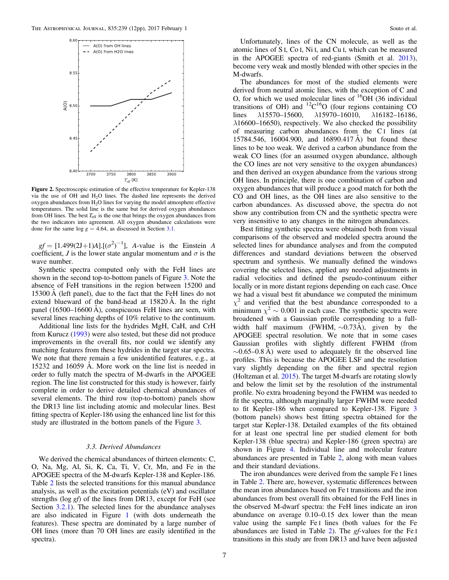<span id="page-6-0"></span>

Figure 2. Spectroscopic estimation of the effective temperature for Kepler-138 via the use of OH and H<sub>2</sub>O lines. The dashed line represents the derived oxygen abundances from  $H_2O$  lines for varying the model atmosphere effective temperatures. The solid line is the same but for derived oxygen abundances from OH lines. The best  $T_{\text{eff}}$  is the one that brings the oxygen abundances from the two indicators into agreement. All oxygen abundance calculations were done for the same log  $g = 4.64$ , as discussed in Section [3.1](#page-1-2).

 $gf = [1.499(2J+1)A] \cdot [(\sigma^2)^{-1}]$ , A-value is the Einstein A coefficient, J is the lower state angular momentum and  $\sigma$  is the wave number.

Synthetic spectra computed only with the FeH lines are shown in the second top-to-bottom panels of Figure [3](#page-7-0). Note the absence of FeH transitions in the region between 15200 and 15300 Å (left panel), due to the fact that the FeH lines do not extend blueward of the band-head at 15820 Å. In the right panel (16500–16600 Å), conspicuous FeH lines are seen, with several lines reaching depths of 10% relative to the continuum.

Additional line lists for the hydrides MgH, CaH, and CrH from Kurucz ([1993](#page-11-56)) were also tested, but these did not produce improvements in the overall fits, nor could we identify any matching features from these hydrides in the target star spectra. We note that there remain a few unidentified features, e.g., at 15232 and 16059 Å. More work on the line list is needed in order to fully match the spectra of M-dwarfs in the APOGEE region. The line list constructed for this study is however, fairly complete in order to derive detailed chemical abundances of several elements. The third row (top-to-bottom) panels show the DR13 line list including atomic and molecular lines. Best fitting spectra of Kepler-186 using the enhanced line list for this study are illustrated in the bottom panels of the Figure [3.](#page-7-0)

## 3.3. Derived Abundances

<span id="page-6-1"></span>We derived the chemical abundances of thirteen elements: C, O, Na, Mg, Al, Si, K, Ca, Ti, V, Cr, Mn, and Fe in the APOGEE spectra of the M-dwarfs Kepler-138 and Kepler-186. Table [2](#page-4-0) lists the selected transitions for this manual abundance analysis, as well as the excitation potentials (eV) and oscillator strengths (log gf) of the lines from DR13, except for FeH (see Section [3.2.1](#page-3-2)). The selected lines for the abundance analyses are also indicated in Figure [1](#page-2-0) (with dots underneath the features). These spectra are dominated by a large number of OH lines (more than 70 OH lines are easily identified in the spectra).

Unfortunately, lines of the CN molecule, as well as the atomic lines of S I, Co I, Ni I, and Cu I, which can be measured in the APOGEE spectra of red-giants (Smith et al. [2013](#page-11-44)), become very weak and mostly blended with other species in the M-dwarfs.

The abundances for most of the studied elements were derived from neutral atomic lines, with the exception of C and O, for which we used molecular lines of  ${}^{16}$ OH (36 individual transitions of OH) and  $^{12}C^{16}O$  (four regions containing CO lines  $\lambda$ 15570–15600,  $\lambda$ 15970–16010,  $\lambda$ 16182–16186,  $\lambda$ 16600–16650), respectively. We also checked the possibility of measuring carbon abundances from the C I lines (at 15784.546, 16004.900, and 16890.417 Å) but found these lines to be too weak. We derived a carbon abundance from the weak CO lines (for an assumed oxygen abundance, although the CO lines are not very sensitive to the oxygen abundances) and then derived an oxygen abundance from the various strong OH lines. In principle, there is one combination of carbon and oxygen abundances that will produce a good match for both the CO and OH lines, as the OH lines are also sensitive to the carbon abundances. As discussed above, the spectra do not show any contribution from CN and the synthetic spectra were very insensitive to any changes in the nitrogen abundances.

Best fitting synthetic spectra were obtained both from visual comparisons of the observed and modeled spectra around the selected lines for abundance analyses and from the computed differences and standard deviations between the observed spectrum and synthesis. We manually defined the windows covering the selected lines, applied any needed adjustments in radial velocities and defined the pseudo-continuum either locally or in more distant regions depending on each case. Once we had a visual best fit abundance we computed the minimum  $\chi^2$  and verified that the best abundance corresponded to a minimum  $\chi^2 \sim 0.001$  in each case. The synthetic spectra were broadened with a Gaussian profile corresponding to a fullwidth half maximum (FWHM, ∼0.73Å), given by the APOGEE spectral resolution. We note that in some cases Gaussian profiles with slightly different FWHM (from  $\sim 0.65-0.8$  Å) were used to adequately fit the observed line profiles. This is because the APOGEE LSF and the resolution vary slightly depending on the fiber and spectral region (Holtzman et al. [2015](#page-11-57)). The target M-dwarfs are rotating slowly and below the limit set by the resolution of the instrumental profile. No extra broadening beyond the FWHM was needed to fit the spectra, although marginally larger FWHM were needed to fit Kepler-186 when compared to Kepler-138. Figure [3](#page-7-0) (bottom panels) shows best fitting spectra obtained for the target star Kepler-138. Detailed examples of the fits obtained for at least one spectral line per studied element for both Kepler-138 (blue spectra) and Kepler-186 (green spectra) are shown in Figure [4](#page-8-0). Individual line and molecular feature abundances are presented in Table [2](#page-4-0), along with mean values and their standard deviations.

The iron abundances were derived from the sample Fe I lines in Table [2](#page-4-0). There are, however, systematic differences between the mean iron abundances based on Fe I transitions and the iron abundances from best overall fits obtained for the FeH lines in the observed M-dwarf spectra: the FeH lines indicate an iron abundance on average 0.10–0.15 dex lower than the mean value using the sample Fe I lines (both values for the Fe abundances are listed in Table [2](#page-4-0)). The gf-values for the Fe I transitions in this study are from DR13 and have been adjusted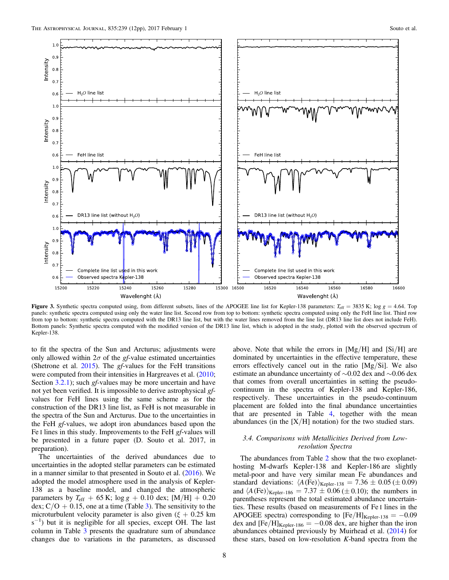<span id="page-7-0"></span>

Figure 3. Synthetic spectra computed using, from different subsets, lines of the APOGEE line list for Kepler-138 parameters:  $T_{\text{eff}} = 3835$  K; log  $g = 4.64$ . Top panels: synthetic spectra computed using only the water line list. Second row from top to bottom: synthetic spectra computed using only the FeH line list. Third row from top to bottom: synthetic spectra computed with the DR13 line list, but with the water lines removed from the line list (DR13 line list does not include FeH). Bottom panels: Synthetic spectra computed with the modified version of the DR13 line list, which is adopted in the study, plotted with the observed spectrum of Kepler-138.

to fit the spectra of the Sun and Arcturus; adjustments were only allowed within  $2\sigma$  of the gf-value estimated uncertainties (Shetrone et al. [2015](#page-11-45)). The gf-values for the FeH transitions were computed from their intensities in Hargreaves et al. ([2010](#page-11-50); Section [3.2.1](#page-3-2)); such gf-values may be more uncertain and have not yet been verified. It is impossible to derive astrophysical gfvalues for FeH lines using the same scheme as for the construction of the DR13 line list, as FeH is not measurable in the spectra of the Sun and Arcturus. Due to the uncertainties in the FeH gf-values, we adopt iron abundances based upon the Fe I lines in this study. Improvements to the FeH gf-values will be presented in a future paper (D. Souto et al. 2017, in preparation).

The uncertainties of the derived abundances due to uncertainties in the adopted stellar parameters can be estimated in a manner similar to that presented in Souto et al. ([2016](#page-11-58)). We adopted the model atmosphere used in the analysis of Kepler-138 as a baseline model, and changed the atmospheric parameters by  $T_{\text{eff}}$  + 65 K; log g + 0.10 dex; [M/H] + 0.20 dex;  $C/O + 0.15$ , one at a time (Table [3](#page-8-1)). The sensitivity to the microturbulent velocity parameter is also given ( $\xi + 0.25$  km  $s^{-1}$ ) but it is negligible for all species, except OH. The last column in Table [3](#page-8-1) presents the quadrature sum of abundance changes due to variations in the parameters, as discussed

above. Note that while the errors in  $[Mg/H]$  and  $[Si/H]$  are dominated by uncertainties in the effective temperature, these errors effectively cancel out in the ratio [Mg/Si]. We also estimate an abundance uncertainty of ∼0.02 dex and ∼0.06 dex that comes from overall uncertainties in setting the pseudocontinuum in the spectra of Kepler-138 and Kepler-186, respectively. These uncertainties in the pseudo-continuum placement are folded into the final abundance uncertainties that are presented in Table [4](#page-9-1), together with the mean abundances (in the  $[X/H]$  notation) for the two studied stars.

# 3.4. Comparisons with Metallicities Derived from Lowresolution Spectra

The abundances from Table [2](#page-4-0) show that the two exoplanethosting M-dwarfs Kepler-138 and Kepler-186 are slightly metal-poor and have very similar mean Fe abundances and standard deviations:  $\langle A(\text{Fe}) \rangle_{\text{Kepler-138}} = 7.36 \pm 0.05 \, (\pm 0.09)$ and  $\langle A(\text{Fe}) \rangle_{\text{Kepler-186}} = 7.37 \pm 0.06 \ (\pm 0.10)$ ; the numbers in parentheses represent the total estimated abundance uncertainties. These results (based on measurements of Fe I lines in the APOGEE spectra) corresponding to  $[Fe/H]_{Kepler-138} = -0.09$ dex and  $[Fe/H]_{Kepler-186} = -0.08$  dex, are higher than the iron abundances obtained previously by Muirhead et al. ([2014](#page-11-59)) for these stars, based on low-resolution K-band spectra from the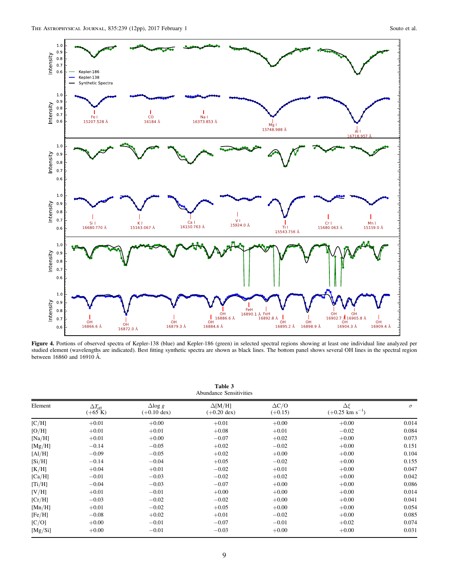<span id="page-8-0"></span>

Figure 4. Portions of observed spectra of Kepler-138 (blue) and Kepler-186 (green) in selected spectral regions showing at least one individual line analyzed per studied element (wavelengths are indicated). Best fitting synthetic spectra are shown as black lines. The bottom panel shows several OH lines in the spectral region between 16860 and 16910 Å.

<span id="page-8-1"></span>

| Table 3<br><b>Abundance Sensitivities</b> |                                   |                                         |                                         |                           |                                               |          |
|-------------------------------------------|-----------------------------------|-----------------------------------------|-----------------------------------------|---------------------------|-----------------------------------------------|----------|
| Element                                   | $\Delta T_{\rm eff}$<br>$(+65 K)$ | $\Delta$ log g<br>$(+0.10 \text{ dex})$ | $\Delta$ [M/H]<br>$(+0.20 \text{ dex})$ | $\Delta C/O$<br>$(+0.15)$ | $\Delta \xi$<br>$(+0.25$ km s <sup>-1</sup> ) | $\sigma$ |
| [C/H]                                     | $+0.01$                           | $+0.00$                                 | $+0.01$                                 | $+0.00$                   | $+0.00$                                       | 0.014    |
| [O/H]                                     | $+0.01$                           | $+0.01$                                 | $+0.08$                                 | $+0.01$                   | $-0.02$                                       | 0.084    |
| [Na/H]                                    | $+0.01$                           | $+0.00$                                 | $-0.07$                                 | $+0.02$                   | $+0.00$                                       | 0.073    |
| [Mg/H]                                    | $-0.14$                           | $-0.05$                                 | $+0.02$                                 | $-0.02$                   | $+0.00$                                       | 0.151    |
| [A1/H]                                    | $-0.09$                           | $-0.05$                                 | $+0.02$                                 | $+0.00$                   | $+0.00$                                       | 0.104    |
| [Si/H]                                    | $-0.14$                           | $-0.04$                                 | $+0.05$                                 | $-0.02$                   | $+0.00$                                       | 0.155    |
| [K/H]                                     | $+0.04$                           | $+0.01$                                 | $-0.02$                                 | $+0.01$                   | $+0.00$                                       | 0.047    |
| [Ca/H]                                    | $-0.01$                           | $-0.03$                                 | $-0.02$                                 | $+0.02$                   | $+0.00$                                       | 0.042    |
| [Ti/H]                                    | $-0.04$                           | $-0.03$                                 | $-0.07$                                 | $+0.00$                   | $+0.00$                                       | 0.086    |
| [V/H]                                     | $+0.01$                           | $-0.01$                                 | $+0.00$                                 | $+0.00$                   | $+0.00$                                       | 0.014    |
| [Cr/H]                                    | $-0.03$                           | $-0.02$                                 | $-0.02$                                 | $+0.00$                   | $+0.00$                                       | 0.041    |
| [Mn/H]                                    | $+0.01$                           | $-0.02$                                 | $+0.05$                                 | $+0.00$                   | $+0.00$                                       | 0.054    |
| [Fe/H]                                    | $-0.08$                           | $+0.02$                                 | $+0.01$                                 | $-0.02$                   | $+0.00$                                       | 0.085    |
| [C/O]                                     | $+0.00$                           | $-0.01$                                 | $-0.07$                                 | $-0.01$                   | $+0.02$                                       | 0.074    |
| [Mg/Si]                                   | $+0.00$                           | $-0.01$                                 | $-0.03$                                 | $+0.00$                   | $+0.00$                                       | 0.031    |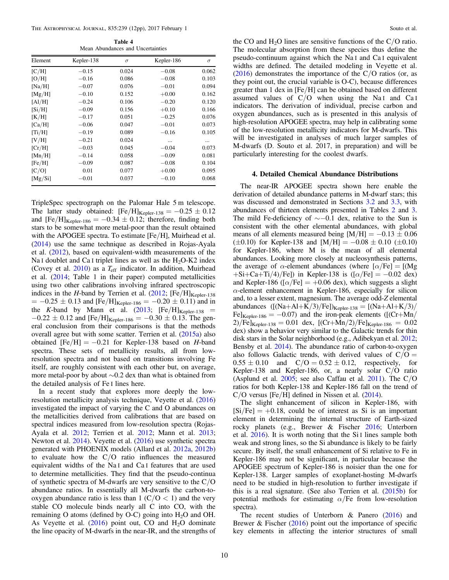Table 4 Mean Abundances and Uncertainties

<span id="page-9-1"></span>

| Element | Kepler-138 | $\sigma$ | Kepler-186 | $\sigma$ |
|---------|------------|----------|------------|----------|
| [C/H]   | $-0.15$    | 0.024    | $-0.08$    | 0.062    |
| [O/H]   | $-0.16$    | 0.086    | $-0.08$    | 0.103    |
| [Na/H]  | $-0.07$    | 0.076    | $-0.01$    | 0.094    |
| [Mg/H]  | $-0.10$    | 0.152    | $+0.00$    | 0.162    |
| [A1/H]  | $-0.24$    | 0.106    | $-0.20$    | 0.120    |
| [Si/H]  | $-0.09$    | 0.156    | $+0.10$    | 0.166    |
| [K/H]   | $-0.17$    | 0.051    | $-0.25$    | 0.076    |
| [Ca/H]  | $-0.06$    | 0.047    | $-0.01$    | 0.073    |
| [Ti/H]  | $-0.19$    | 0.089    | $-0.16$    | 0.105    |
| [V/H]   | $-0.21$    | 0.024    | $\ddotsc$  | $\cdots$ |
| [Cr/H]  | $-0.03$    | 0.045    | $-0.04$    | 0.073    |
| [Mn/H]  | $-0.14$    | 0.058    | $-0.09$    | 0.081    |
| [Fe/H]  | $-0.09$    | 0.087    | $-0.08$    | 0.104    |
| [C/O]   | 0.01       | 0.077    | $+0.00$    | 0.095    |
| [Mg/Si] | $-0.01$    | 0.037    | $-0.10$    | 0.068    |

TripleSpec spectrograph on the Palomar Hale 5 m telescope. The latter study obtained:  $[Fe/H]_{Kepler-138} = -0.25 \pm 0.12$ and  $[Fe/H]_{Kepler-186} = -0.34 \pm 0.12$ ; therefore, finding both stars to be somewhat more metal-poor than the result obtained with the APOGEE spectra. To estimate [Fe/H], Muirhead et al. ([2014](#page-11-59)) use the same technique as described in Rojas-Ayala et al. ([2012](#page-11-60)), based on equivalent-width measurements of the Na I doublet and Ca I triplet lines as well as the  $H_2O-K2$  index (Covey et al. [2010](#page-11-61)) as a *T*eff indicator. In addition, Muirhead et al. ([2014](#page-11-59); Table 1 in their paper) computed metallicities using two other calibrations involving infrared spectroscopic indices in the H-band by Terrien et al.  $(2012; [Fe/H]_{Kepler-138}]$  $(2012; [Fe/H]_{Kepler-138}]$  $(2012; [Fe/H]_{Kepler-138}]$  $= -0.25 \pm 0.13$  and [Fe/H]<sub>Kepler-186</sub> =  $-0.20 \pm 0.11$ ) and in the K-band by Mann et al.  $(2013; [Fe/H]_{Kepler-138}$  $(2013; [Fe/H]_{Kepler-138}$  $(2013; [Fe/H]_{Kepler-138}$  =  $-0.22 \pm 0.12$  and [Fe/H]<sub>Kepler-186</sub> =  $-0.30 \pm 0.13$ . The general conclusion from their comparisons is that the methods overall agree but with some scatter. Terrien et al. ([2015a](#page-11-64)) also obtained  $[Fe/H] = -0.21$  for Kepler-138 based on H-band spectra. These sets of metallicity results, all from lowresolution spectra and not based on transitions involving Fe itself, are roughly consistent with each other but, on average, more metal-poor by about ∼0.2 dex than what is obtained from the detailed analysis of Fe I lines here.

In a recent study that explores more deeply the lowresolution metallicity analysis technique, Veyette et al. ([2016](#page-11-65)) investigated the impact of varying the C and O abundances on the metallicities derived from calibrations that are based on spectral indices measured from low-resolution spectra (Rojas-Ayala et al. [2012;](#page-11-60) Terrien et al. [2012;](#page-11-62) Mann et al. [2013](#page-11-63); Newton et al. [2014](#page-11-66)). Veyette et al. ([2016](#page-11-65)) use synthetic spectra generated with PHOENIX models (Allard et al. [2012a](#page-11-67), [2012b](#page-11-68)) to evaluate how the  $C/O$  ratio influences the measured equivalent widths of the Na I and Ca I features that are used to determine metallicities. They find that the pseudo-continua of synthetic spectra of M-dwarfs are very sensitive to the C/O abundance ratios. In essentially all M-dwarfs the carbon-tooxygen abundance ratio is less than  $1 \left( \frac{C}{O} < 1 \right)$  and the very stable CO molecule binds nearly all C into CO, with the remaining O atoms (defined by O-C) going into  $H_2O$  and OH. As Veyette et al.  $(2016)$  $(2016)$  $(2016)$  point out, CO and H<sub>2</sub>O dominate the line opacity of M-dwarfs in the near-IR, and the strengths of the CO and  $H_2O$  lines are sensitive functions of the C/O ratio. The molecular absorption from these species thus define the pseudo-continuum against which the Na I and Ca I equivalent widths are defined. The detailed modeling in Veyette et al.  $(2016)$  $(2016)$  $(2016)$  demonstrates the importance of the C/O ratios (or, as they point out, the crucial variable is O-C), because differences greater than 1 dex in [Fe/H] can be obtained based on different assumed values of  $C/O$  when using the Na<sub>I</sub> and Ca<sub>I</sub> indicators. The derivation of individual, precise carbon and oxygen abundances, such as is presented in this analysis of high-resolution APOGEE spectra, may help in calibrating some of the low-resolution metallicity indicators for M-dwarfs. This will be investigated in analyses of much larger samples of M-dwarfs (D. Souto et al. 2017, in preparation) and will be particularly interesting for the coolest dwarfs.

### 4. Detailed Chemical Abundance Distributions

<span id="page-9-0"></span>The near-IR APOGEE spectra shown here enable the derivation of detailed abundance patterns in M-dwarf stars; this was discussed and demonstrated in Sections [3.2](#page-3-0) and [3.3](#page-6-1), with abundances of thirteen elements presented in Tables [2](#page-4-0) and [3](#page-8-1). The mild Fe-deficiency of  $\sim$ −0.1 dex, relative to the Sun is consistent with the other elemental abundances, with global means of all elements measured being  $[M/H] = -0.13 \pm 0.06$  $(\pm 0.10)$  for Kepler-138 and  $[M/H] = -0.08 \pm 0.10 \ (\pm 0.10)$ for Kepler-186, where M is the mean of all elemental abundances. Looking more closely at nucleosynthesis patterns, the average of  $\alpha$ -element abundances (where  $[\alpha/Fe] = [Mg]$  $+Si+Ca+Ti/4)/Fe$ ]) in Kepler-138 is ([ $\alpha$ /Fe] = -0.02 dex) and Kepler-186 ( $\lceil \alpha/\text{Fe} \rceil = +0.06$  dex), which suggests a slight  $\alpha$ -element enhancement in Kepler-186, especially for silicon and, to a lesser extent, magnesium. The average odd-Z elemental abundances  $([Na+A1+K/3)/Fe])_{Kepler-138} = [(Na+A1+K/3)/$ Fe]<sub>Kepler-186</sub> = -0.07) and the iron-peak elements ([(Cr+Mn/  $2)/Fe$ <sub>Kepler-138</sub> = 0.01 dex,  $[(Cr+Mn/2)/Fe]_{Kepler-186} = 0.02$ dex) show a behavior very similar to the Galactic trends for thin disk stars in the Solar neighborhood (e.g., Adibekyan et al. [2012](#page-11-14); Bensby et al. [2014](#page-11-69)). The abundance ratio of carbon-to-oxygen also follows Galactic trends, with derived values of  $C/O =$  $0.55 \pm 0.10$  and  $C/O = 0.52 \pm 0.12$ , respectively, for Kepler-138 and Kepler-186, or, a nearly solar C/O ratio (Asplund et al.  $2005$ ; see also Caffau et al.  $2011$ ). The C/O ratios for both Kepler-138 and Kepler-186 fall on the trend of C/O versus [Fe/H] defined in Nissen et al. ([2014](#page-11-72)).

The slight enhancement of silicon in Kepler-186, with  $[Si/Fe] = +0.18$ , could be of interest as Si is an important element in determining the internal structure of Earth-sized rocky planets (e.g., Brewer & Fischer [2016](#page-11-9); Unterborn et al. [2016](#page-11-73)). It is worth noting that the Si I lines sample both weak and strong lines, so the Si abundance is likely to be fairly secure. By itself, the small enhancement of Si relative to Fe in Kepler-186 may not be significant, in particular because the APOGEE spectrum of Kepler-186 is noisier than the one for Kepler-138. Larger samples of exoplanet-hosting M-dwarfs need to be studied in high-resolution to further investigate if this is a real signature. (See also Terrien et al.  $(2015b)$  $(2015b)$  $(2015b)$  for potential methods for estimating  $\alpha$ /Fe from low-resolution spectra).

The recent studies of Unterborn  $\&$  Panero ([2016](#page-11-11)) and Brewer  $\&$  Fischer ([2016](#page-11-9)) point out the importance of specific key elements in affecting the interior structures of small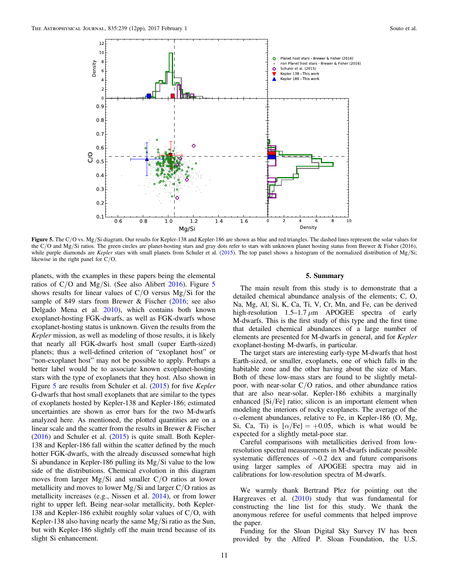<span id="page-10-0"></span>

Figure 5. The C/O vs. Mg/Si diagram. Our results for Kepler-138 and Kepler-186 are shown as blue and red triangles. The dashed lines represent the solar values for the C/O and Mg/Si ratios. The green circles are planet-hosting stars and gray dots refer to stars with unknown planet hosting status from Brewer & Fisher (2016), while purple diamonds are Kepler stars with small planets from Schuler et al. ([2015](#page-11-16)). The top panel shows a histogram of the normalized distribution of Mg/Si; likewise in the right panel for C/O.

planets, with the examples in these papers being the elemental ratios of C/O and Mg/Si. (See also Alibert [2016](#page-11-75)). Figure [5](#page-10-0) shows results for linear values of  $C/O$  versus Mg/Si for the sample of 849 stars from Brewer & Fischer ([2016](#page-11-9); see also Delgado Mena et al. [2010](#page-11-5)), which contains both known exoplanet-hosting FGK-dwarfs, as well as FGK-dwarfs whose exoplanet-hosting status is unknown. Given the results from the Kepler mission, as well as modeling of those results, it is likely that nearly all FGK-dwarfs host small (super Earth-sized) planets; thus a well-defined criterion of "exoplanet host" or "non-exoplanet host" may not be possible to apply. Perhaps a better label would be to associate known exoplanet-hosting stars with the type of exoplanets that they host. Also shown in Figure [5](#page-10-0) are results from Schuler et al. ([2015](#page-11-16)) for five *Kepler* G-dwarfs that host small exoplanets that are similar to the types of exoplanets hosted by Kepler-138 and Kepler-186; estimated uncertainties are shown as error bars for the two M-dwarfs analyzed here. As mentioned, the plotted quantities are on a linear scale and the scatter from the results in Brewer & Fischer  $(2016)$  $(2016)$  $(2016)$  and Schuler et al.  $(2015)$  $(2015)$  $(2015)$  is quite small. Both Kepler-138 and Kepler-186 fall within the scatter defined by the much hotter FGK-dwarfs, with the already discussed somewhat high Si abundance in Kepler-186 pulling its Mg/Si value to the low side of the distributions. Chemical evolution in this diagram moves from larger Mg/Si and smaller C/O ratios at lower metallicity and moves to lower Mg/Si and larger  $C/O$  ratios as metallicity increases (e.g., Nissen et al. [2014](#page-11-72)), or from lower right to upper left. Being near-solar metallicity, both Kepler-138 and Kepler-186 exhibit roughly solar values of C/O, with Kepler-138 also having nearly the same Mg/Si ratio as the Sun, but with Kepler-186 slightly off the main trend because of its slight Si enhancement.

#### 5. Summary

The main result from this study is to demonstrate that a detailed chemical abundance analysis of the elements; C, O, Na, Mg, Al, Si, K, Ca, Ti, V, Cr, Mn, and Fe, can be derived high-resolution  $1.5-1.7 \mu m$  APOGEE spectra of early M-dwarfs. This is the first study of this type and the first time that detailed chemical abundances of a large number of elements are presented for M-dwarfs in general, and for Kepler exoplanet-hosting M-dwarfs, in particular.

The target stars are interesting early-type M-dwarfs that host Earth-sized, or smaller, exoplanets, one of which falls in the habitable zone and the other having about the size of Mars. Both of these low-mass stars are found to be slightly metalpoor, with near-solar C/O ratios, and other abundance ratios that are also near-solar. Kepler-186 exhibits a marginally enhanced [Si/Fe] ratio; silicon is an important element when modeling the interiors of rocky exoplanets. The average of the  $\alpha$ -element abundances, relative to Fe, in Kepler-186 (O, Mg, Si, Ca, Ti) is  $[\alpha/Fe] = +0.05$ , which is what would be expected for a slightly metal-poor star.

Careful comparisons with metallicities derived from lowresolution spectral measurements in M-dwarfs indicate possible systematic differences of ∼0.2 dex and future comparisons using larger samples of APOGEE spectra may aid in calibrations for low-resolution spectra of M-dwarfs.

We warmly thank Bertrand Plez for pointing out the Hargreaves et al. ([2010](#page-11-50)) study that was fundamental for constructing the line list for this study. We thank the anonymous referee for useful comments that helped improve the paper.

Funding for the Sloan Digital Sky Survey IV has been provided by the Alfred P. Sloan Foundation, the U.S.